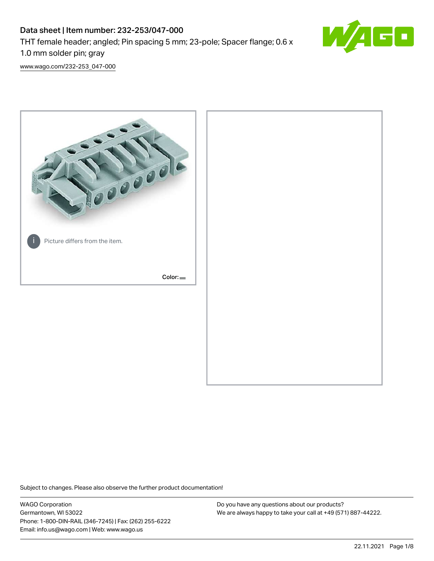# Data sheet | Item number: 232-253/047-000 THT female header; angled; Pin spacing 5 mm; 23-pole; Spacer flange; 0.6 x 1.0 mm solder pin; gray



[www.wago.com/232-253\\_047-000](http://www.wago.com/232-253_047-000)



Subject to changes. Please also observe the further product documentation!

WAGO Corporation Germantown, WI 53022 Phone: 1-800-DIN-RAIL (346-7245) | Fax: (262) 255-6222 Email: info.us@wago.com | Web: www.wago.us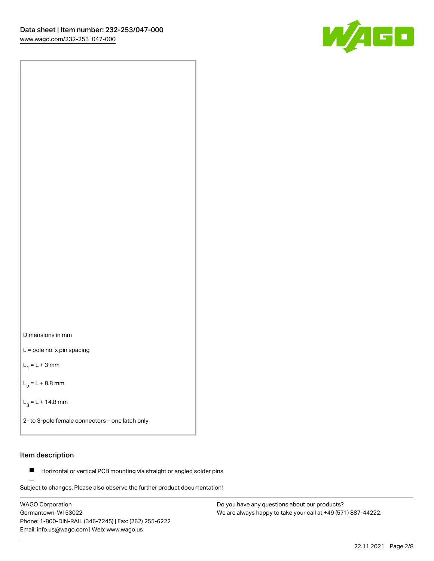

Dimensions in mm

L = pole no. x pin spacing

 $L_1 = L + 3$  mm

 $L_2 = L + 8.8$  mm

 $L_3 = L + 14.8$  mm

2- to 3-pole female connectors – one latch only

# Item description

**Horizontal or vertical PCB mounting via straight or angled solder pins** 

Subject to changes. Please also observe the further product documentation! For board-to-board and board-to-wire connections

WAGO Corporation Germantown, WI 53022 Phone: 1-800-DIN-RAIL (346-7245) | Fax: (262) 255-6222 Email: info.us@wago.com | Web: www.wago.us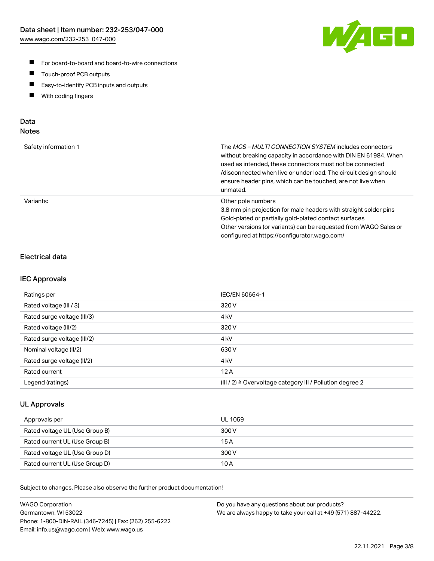

- For board-to-board and board-to-wire connections
- $\blacksquare$ Touch-proof PCB outputs
- $\blacksquare$ Easy-to-identify PCB inputs and outputs
- $\blacksquare$ With coding fingers

# Data **Notes**

| Safety information 1 | The <i>MCS – MULTI CONNECTION SYSTEM</i> includes connectors<br>without breaking capacity in accordance with DIN EN 61984. When<br>used as intended, these connectors must not be connected<br>/disconnected when live or under load. The circuit design should<br>ensure header pins, which can be touched, are not live when<br>unmated. |
|----------------------|--------------------------------------------------------------------------------------------------------------------------------------------------------------------------------------------------------------------------------------------------------------------------------------------------------------------------------------------|
| Variants:            | Other pole numbers<br>3.8 mm pin projection for male headers with straight solder pins<br>Gold-plated or partially gold-plated contact surfaces<br>Other versions (or variants) can be requested from WAGO Sales or<br>configured at https://configurator.wago.com/                                                                        |

# Electrical data

# IEC Approvals

| Ratings per                 | IEC/EN 60664-1                                                        |
|-----------------------------|-----------------------------------------------------------------------|
| Rated voltage (III / 3)     | 320 V                                                                 |
| Rated surge voltage (III/3) | 4 <sub>k</sub> V                                                      |
| Rated voltage (III/2)       | 320 V                                                                 |
| Rated surge voltage (III/2) | 4 <sub>k</sub> V                                                      |
| Nominal voltage (II/2)      | 630 V                                                                 |
| Rated surge voltage (II/2)  | 4 <sub>kV</sub>                                                       |
| Rated current               | 12A                                                                   |
| Legend (ratings)            | $(III / 2)$ $\triangle$ Overvoltage category III / Pollution degree 2 |

# UL Approvals

| Approvals per                  | UL 1059 |
|--------------------------------|---------|
| Rated voltage UL (Use Group B) | 300 V   |
| Rated current UL (Use Group B) | 15 A    |
| Rated voltage UL (Use Group D) | 300 V   |
| Rated current UL (Use Group D) | 10 A    |

Subject to changes. Please also observe the further product documentation!

| <b>WAGO Corporation</b>                                | Do you have any questions about our products?                 |
|--------------------------------------------------------|---------------------------------------------------------------|
| Germantown, WI 53022                                   | We are always happy to take your call at +49 (571) 887-44222. |
| Phone: 1-800-DIN-RAIL (346-7245)   Fax: (262) 255-6222 |                                                               |
| Email: info.us@wago.com   Web: www.wago.us             |                                                               |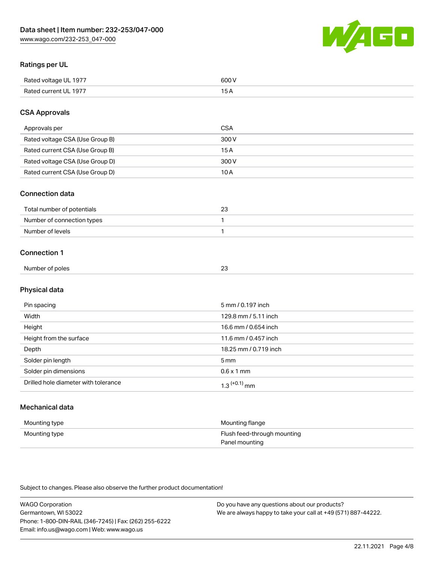

# Ratings per UL

| Rated voltage UL 1977 | 600   |
|-----------------------|-------|
| Rated current UL 1977 | . O F |

# CSA Approvals

| Approvals per                   | <b>CSA</b> |
|---------------------------------|------------|
| Rated voltage CSA (Use Group B) | 300 V      |
| Rated current CSA (Use Group B) | 15 A       |
| Rated voltage CSA (Use Group D) | 300 V      |
| Rated current CSA (Use Group D) | 10 A       |

#### Connection data

| Total number of potentials |  |
|----------------------------|--|
| Number of connection types |  |
| Number of levels           |  |

#### Connection 1

|                 | $\sim$ |
|-----------------|--------|
| Number of poles | ້      |

# Physical data

| Pin spacing                          | 5 mm / 0.197 inch     |
|--------------------------------------|-----------------------|
| Width                                | 129.8 mm / 5.11 inch  |
| Height                               | 16.6 mm / 0.654 inch  |
| Height from the surface              | 11.6 mm / 0.457 inch  |
| Depth                                | 18.25 mm / 0.719 inch |
| Solder pin length                    | 5 <sub>mm</sub>       |
| Solder pin dimensions                | $0.6 \times 1$ mm     |
| Drilled hole diameter with tolerance | $1.3$ $(+0.1)$ mm     |

# Mechanical data

| Mounting type | Mounting flange             |
|---------------|-----------------------------|
| Mounting type | Flush feed-through mounting |
|               | Panel mounting              |

Subject to changes. Please also observe the further product documentation!

| <b>WAGO Corporation</b>                                | Do you have any questions about our products?                 |
|--------------------------------------------------------|---------------------------------------------------------------|
| Germantown, WI 53022                                   | We are always happy to take your call at +49 (571) 887-44222. |
| Phone: 1-800-DIN-RAIL (346-7245)   Fax: (262) 255-6222 |                                                               |
| Email: info.us@wago.com   Web: www.wago.us             |                                                               |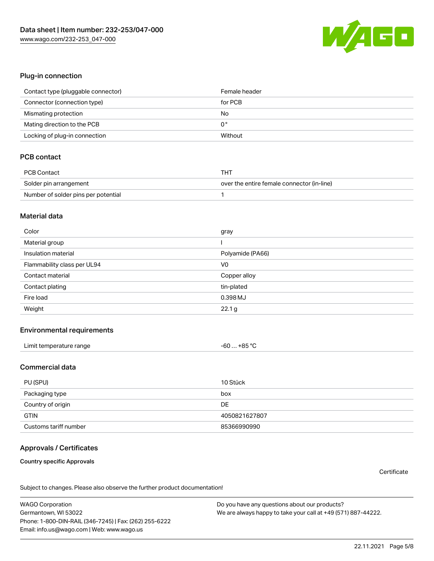

#### Plug-in connection

| Contact type (pluggable connector) | Female header |
|------------------------------------|---------------|
| Connector (connection type)        | for PCB       |
| Mismating protection               | No            |
| Mating direction to the PCB        | 0°            |
| Locking of plug-in connection      | Without       |

# PCB contact

| PCB Contact                         | тнт                                        |
|-------------------------------------|--------------------------------------------|
| Solder pin arrangement              | over the entire female connector (in-line) |
| Number of solder pins per potential |                                            |

#### Material data

| Color                       | gray             |
|-----------------------------|------------------|
| Material group              |                  |
| Insulation material         | Polyamide (PA66) |
| Flammability class per UL94 | V <sub>0</sub>   |
| Contact material            | Copper alloy     |
| Contact plating             | tin-plated       |
| Fire load                   | 0.398 MJ         |
| Weight                      | 22.1 g           |

#### Environmental requirements

| Limit temperature range | $-60+85 °C$ |  |
|-------------------------|-------------|--|
|-------------------------|-------------|--|

### Commercial data

| PU (SPU)              | 10 Stück      |
|-----------------------|---------------|
| Packaging type        | box           |
| Country of origin     | DE            |
| <b>GTIN</b>           | 4050821627807 |
| Customs tariff number | 85366990990   |

# Approvals / Certificates

#### Country specific Approvals

**Certificate** 

Subject to changes. Please also observe the further product documentation!

WAGO Corporation Germantown, WI 53022 Phone: 1-800-DIN-RAIL (346-7245) | Fax: (262) 255-6222 Email: info.us@wago.com | Web: www.wago.us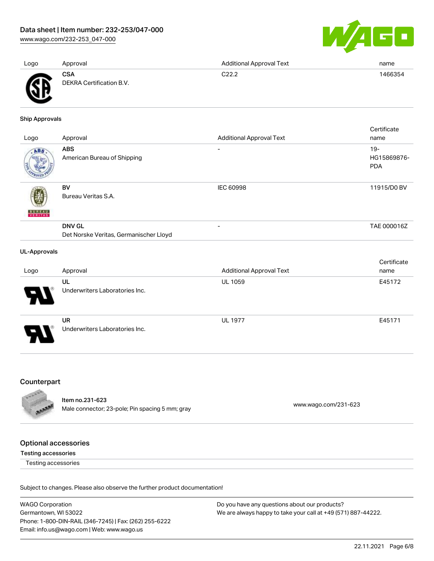[www.wago.com/232-253\\_047-000](http://www.wago.com/232-253_047-000)



| Logo | Approval                               | <b>Additional Approval Text</b> | name    |
|------|----------------------------------------|---------------------------------|---------|
| Ж    | <b>CSA</b><br>DEKRA Certification B.V. | C22.2                           | 1466354 |

Ship Approvals

| Logo                     | Approval                                                | <b>Additional Approval Text</b> | Certificate<br>name                 |
|--------------------------|---------------------------------------------------------|---------------------------------|-------------------------------------|
| ABS                      | <b>ABS</b><br>American Bureau of Shipping               | -                               | $19 -$<br>HG15869876-<br><b>PDA</b> |
| <b>BUREAU</b><br>VERITAS | BV<br>Bureau Veritas S.A.                               | IEC 60998                       | 11915/D0 BV                         |
|                          | <b>DNV GL</b><br>Det Norske Veritas, Germanischer Lloyd | $\overline{\phantom{0}}$        | TAE 000016Z                         |
| <b>UL-Approvals</b>      |                                                         |                                 | Certificate                         |

| Logo | Approval                       | <b>Additional Approval Text</b> | name   |
|------|--------------------------------|---------------------------------|--------|
|      | UL                             | <b>UL 1059</b>                  | E45172 |
|      | Underwriters Laboratories Inc. |                                 |        |
|      | UR                             | <b>UL 1977</b>                  | E45171 |
|      | Underwriters Laboratories Inc. |                                 |        |

# Counterpart



Item no.231-623 nem 10.231-023<br>Male connector; 23-pole; Pin spacing 5 mm; gray [www.wago.com/231-623](https://www.wago.com/231-623)

# Optional accessories

Testing accessories

Testing accessories

Subject to changes. Please also observe the further product documentation!

WAGO Corporation Germantown, WI 53022 Phone: 1-800-DIN-RAIL (346-7245) | Fax: (262) 255-6222 Email: info.us@wago.com | Web: www.wago.us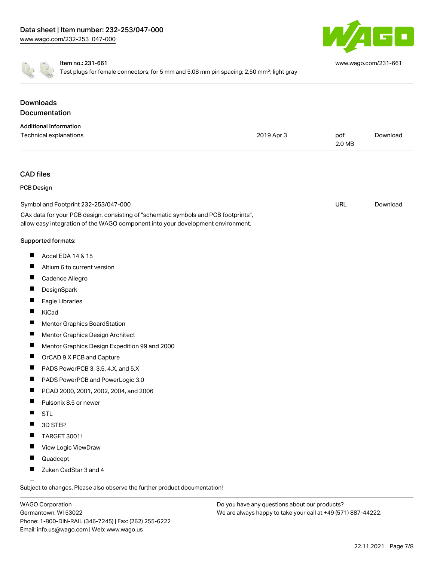

[www.wago.com/231-661](http://www.wago.com/231-661)

Item no.: 231-661

Test plugs for female connectors; for 5 mm and 5.08 mm pin spacing; 2,50 mm<sup>2</sup>; light gray

| Documentation<br><b>Additional Information</b><br>Technical explanations<br>2019 Apr 3<br>pdf<br>Download<br>2.0 MB<br><b>CAD files</b><br><b>PCB Design</b><br>URL<br>Symbol and Footprint 232-253/047-000<br>Download<br>CAx data for your PCB design, consisting of "schematic symbols and PCB footprints",<br>allow easy integration of the WAGO component into your development environment.<br>Supported formats:<br>ш<br>Accel EDA 14 & 15<br>Altium 6 to current version<br>ш<br>ш<br>Cadence Allegro<br>ш<br>DesignSpark<br>Eagle Libraries<br>H.<br>KiCad<br>ш<br>Mentor Graphics BoardStation<br>Mentor Graphics Design Architect<br>ш<br>Mentor Graphics Design Expedition 99 and 2000<br>ш<br>OrCAD 9.X PCB and Capture<br>PADS PowerPCB 3, 3.5, 4.X, and 5.X<br>ш<br>PADS PowerPCB and PowerLogic 3.0<br>ш<br>PCAD 2000, 2001, 2002, 2004, and 2006<br>Pulsonix 8.5 or newer<br>ш<br><b>STL</b><br>3D STEP<br>ш<br><b>TARGET 3001!</b><br>View Logic ViewDraw<br>ш<br>Quadcept<br>Zuken CadStar 3 and 4 | <b>Downloads</b> |  |  |
|-----------------------------------------------------------------------------------------------------------------------------------------------------------------------------------------------------------------------------------------------------------------------------------------------------------------------------------------------------------------------------------------------------------------------------------------------------------------------------------------------------------------------------------------------------------------------------------------------------------------------------------------------------------------------------------------------------------------------------------------------------------------------------------------------------------------------------------------------------------------------------------------------------------------------------------------------------------------------------------------------------------------------|------------------|--|--|
|                                                                                                                                                                                                                                                                                                                                                                                                                                                                                                                                                                                                                                                                                                                                                                                                                                                                                                                                                                                                                       |                  |  |  |
|                                                                                                                                                                                                                                                                                                                                                                                                                                                                                                                                                                                                                                                                                                                                                                                                                                                                                                                                                                                                                       |                  |  |  |
|                                                                                                                                                                                                                                                                                                                                                                                                                                                                                                                                                                                                                                                                                                                                                                                                                                                                                                                                                                                                                       |                  |  |  |
|                                                                                                                                                                                                                                                                                                                                                                                                                                                                                                                                                                                                                                                                                                                                                                                                                                                                                                                                                                                                                       |                  |  |  |
|                                                                                                                                                                                                                                                                                                                                                                                                                                                                                                                                                                                                                                                                                                                                                                                                                                                                                                                                                                                                                       |                  |  |  |
|                                                                                                                                                                                                                                                                                                                                                                                                                                                                                                                                                                                                                                                                                                                                                                                                                                                                                                                                                                                                                       |                  |  |  |
|                                                                                                                                                                                                                                                                                                                                                                                                                                                                                                                                                                                                                                                                                                                                                                                                                                                                                                                                                                                                                       |                  |  |  |
|                                                                                                                                                                                                                                                                                                                                                                                                                                                                                                                                                                                                                                                                                                                                                                                                                                                                                                                                                                                                                       |                  |  |  |
|                                                                                                                                                                                                                                                                                                                                                                                                                                                                                                                                                                                                                                                                                                                                                                                                                                                                                                                                                                                                                       |                  |  |  |
|                                                                                                                                                                                                                                                                                                                                                                                                                                                                                                                                                                                                                                                                                                                                                                                                                                                                                                                                                                                                                       |                  |  |  |
|                                                                                                                                                                                                                                                                                                                                                                                                                                                                                                                                                                                                                                                                                                                                                                                                                                                                                                                                                                                                                       |                  |  |  |
|                                                                                                                                                                                                                                                                                                                                                                                                                                                                                                                                                                                                                                                                                                                                                                                                                                                                                                                                                                                                                       |                  |  |  |
|                                                                                                                                                                                                                                                                                                                                                                                                                                                                                                                                                                                                                                                                                                                                                                                                                                                                                                                                                                                                                       |                  |  |  |
|                                                                                                                                                                                                                                                                                                                                                                                                                                                                                                                                                                                                                                                                                                                                                                                                                                                                                                                                                                                                                       |                  |  |  |
|                                                                                                                                                                                                                                                                                                                                                                                                                                                                                                                                                                                                                                                                                                                                                                                                                                                                                                                                                                                                                       |                  |  |  |
|                                                                                                                                                                                                                                                                                                                                                                                                                                                                                                                                                                                                                                                                                                                                                                                                                                                                                                                                                                                                                       |                  |  |  |
|                                                                                                                                                                                                                                                                                                                                                                                                                                                                                                                                                                                                                                                                                                                                                                                                                                                                                                                                                                                                                       |                  |  |  |
|                                                                                                                                                                                                                                                                                                                                                                                                                                                                                                                                                                                                                                                                                                                                                                                                                                                                                                                                                                                                                       |                  |  |  |
|                                                                                                                                                                                                                                                                                                                                                                                                                                                                                                                                                                                                                                                                                                                                                                                                                                                                                                                                                                                                                       |                  |  |  |
|                                                                                                                                                                                                                                                                                                                                                                                                                                                                                                                                                                                                                                                                                                                                                                                                                                                                                                                                                                                                                       |                  |  |  |
|                                                                                                                                                                                                                                                                                                                                                                                                                                                                                                                                                                                                                                                                                                                                                                                                                                                                                                                                                                                                                       |                  |  |  |
|                                                                                                                                                                                                                                                                                                                                                                                                                                                                                                                                                                                                                                                                                                                                                                                                                                                                                                                                                                                                                       |                  |  |  |
|                                                                                                                                                                                                                                                                                                                                                                                                                                                                                                                                                                                                                                                                                                                                                                                                                                                                                                                                                                                                                       |                  |  |  |
|                                                                                                                                                                                                                                                                                                                                                                                                                                                                                                                                                                                                                                                                                                                                                                                                                                                                                                                                                                                                                       |                  |  |  |
|                                                                                                                                                                                                                                                                                                                                                                                                                                                                                                                                                                                                                                                                                                                                                                                                                                                                                                                                                                                                                       |                  |  |  |
|                                                                                                                                                                                                                                                                                                                                                                                                                                                                                                                                                                                                                                                                                                                                                                                                                                                                                                                                                                                                                       |                  |  |  |
|                                                                                                                                                                                                                                                                                                                                                                                                                                                                                                                                                                                                                                                                                                                                                                                                                                                                                                                                                                                                                       |                  |  |  |
|                                                                                                                                                                                                                                                                                                                                                                                                                                                                                                                                                                                                                                                                                                                                                                                                                                                                                                                                                                                                                       |                  |  |  |

Subject to changes. Please also observe the further product documentation!

WAGO Corporation Germantown, WI 53022 Phone: 1-800-DIN-RAIL (346-7245) | Fax: (262) 255-6222 Email: info.us@wago.com | Web: www.wago.us